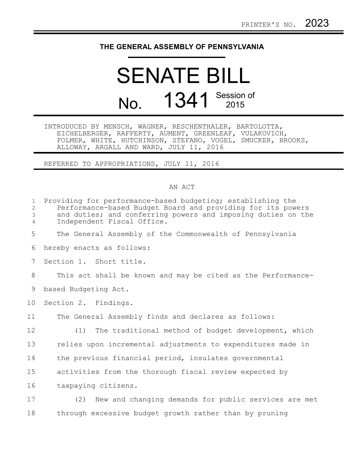## **THE GENERAL ASSEMBLY OF PENNSYLVANIA**

## SENATE BILL No. 1341 Session of

INTRODUCED BY MENSCH, WAGNER, RESCHENTHALER, BARTOLOTTA, EICHELBERGER, RAFFERTY, AUMENT, GREENLEAF, VULAKOVICH, FOLMER, WHITE, HUTCHINSON, STEFANO, VOGEL, SMUCKER, BROOKS, ALLOWAY, ARGALL AND WARD, JULY 11, 2016

REFERRED TO APPROPRIATIONS, JULY 11, 2016

## AN ACT

| $\mathbf{1}$<br>2<br>$\mathfrak{Z}$<br>4 | Providing for performance-based budgeting; establishing the<br>Performance-based Budget Board and providing for its powers<br>and duties; and conferring powers and imposing duties on the<br>Independent Fiscal Office. |
|------------------------------------------|--------------------------------------------------------------------------------------------------------------------------------------------------------------------------------------------------------------------------|
| 5                                        | The General Assembly of the Commonwealth of Pennsylvania                                                                                                                                                                 |
| 6                                        | hereby enacts as follows:                                                                                                                                                                                                |
| 7                                        | Section 1. Short title.                                                                                                                                                                                                  |
| 8                                        | This act shall be known and may be cited as the Performance-                                                                                                                                                             |
| 9                                        | based Budgeting Act.                                                                                                                                                                                                     |
| 10                                       | Section 2. Findings.                                                                                                                                                                                                     |
| 11                                       | The General Assembly finds and declares as follows:                                                                                                                                                                      |
| 12                                       | (1)<br>The traditional method of budget development, which                                                                                                                                                               |
| 13                                       | relies upon incremental adjustments to expenditures made in                                                                                                                                                              |
| 14                                       | the previous financial period, insulates governmental                                                                                                                                                                    |
| 15                                       | activities from the thorough fiscal review expected by                                                                                                                                                                   |
| 16                                       | taxpaying citizens.                                                                                                                                                                                                      |
| 17                                       | (2) New and changing demands for public services are met                                                                                                                                                                 |
| 18                                       | through excessive budget growth rather than by pruning                                                                                                                                                                   |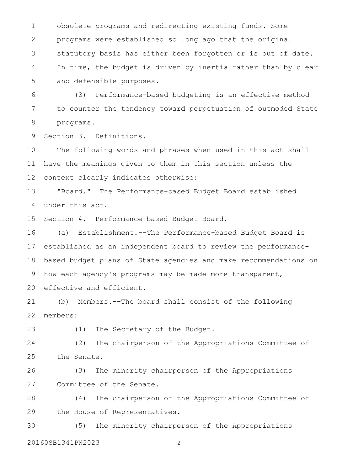obsolete programs and redirecting existing funds. Some programs were established so long ago that the original statutory basis has either been forgotten or is out of date. In time, the budget is driven by inertia rather than by clear and defensible purposes. 1 2 3 4 5

(3) Performance-based budgeting is an effective method to counter the tendency toward perpetuation of outmoded State programs. 6 7 8

Section 3. Definitions. 9

The following words and phrases when used in this act shall have the meanings given to them in this section unless the context clearly indicates otherwise: 10 11 12

"Board." The Performance-based Budget Board established under this act. 13 14

Section 4. Performance-based Budget Board. 15

(a) Establishment.--The Performance-based Budget Board is established as an independent board to review the performancebased budget plans of State agencies and make recommendations on how each agency's programs may be made more transparent, effective and efficient. 16 17 18 19 20

(b) Members.--The board shall consist of the following members: 21 22

(1) The Secretary of the Budget. 23

(2) The chairperson of the Appropriations Committee of the Senate. 24 25

(3) The minority chairperson of the Appropriations Committee of the Senate. 26 27

(4) The chairperson of the Appropriations Committee of the House of Representatives. 28 29

(5) The minority chairperson of the Appropriations 20160SB1341PN2023 - 2 -30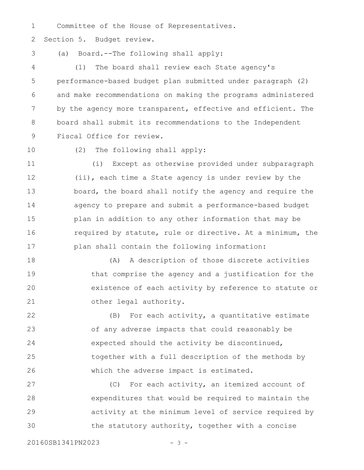Committee of the House of Representatives. 1

Section 5. Budget review. 2

(a) Board.--The following shall apply: 3

(1) The board shall review each State agency's performance-based budget plan submitted under paragraph (2) and make recommendations on making the programs administered by the agency more transparent, effective and efficient. The board shall submit its recommendations to the Independent Fiscal Office for review. 4 5 6 7 8 9

10

(2) The following shall apply:

(i) Except as otherwise provided under subparagraph (ii), each time a State agency is under review by the board, the board shall notify the agency and require the agency to prepare and submit a performance-based budget plan in addition to any other information that may be required by statute, rule or directive. At a minimum, the plan shall contain the following information: 11 12 13 14 15 16 17

(A) A description of those discrete activities that comprise the agency and a justification for the existence of each activity by reference to statute or other legal authority. 18 19 20 21

(B) For each activity, a quantitative estimate of any adverse impacts that could reasonably be expected should the activity be discontinued, together with a full description of the methods by which the adverse impact is estimated. 22 23 24 25 26

(C) For each activity, an itemized account of expenditures that would be required to maintain the activity at the minimum level of service required by the statutory authority, together with a concise 27 28 29 30

20160SB1341PN2023 - 3 -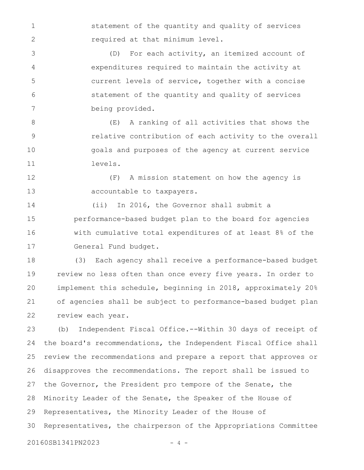statement of the quantity and quality of services required at that minimum level.

(D) For each activity, an itemized account of expenditures required to maintain the activity at current levels of service, together with a concise statement of the quantity and quality of services being provided. 3 4 5 6 7

1

2

(E) A ranking of all activities that shows the relative contribution of each activity to the overall goals and purposes of the agency at current service levels. 8 9 10 11

(F) A mission statement on how the agency is accountable to taxpayers. 12 13

(ii) In 2016, the Governor shall submit a performance-based budget plan to the board for agencies with cumulative total expenditures of at least 8% of the General Fund budget. 14 15 16 17

(3) Each agency shall receive a performance-based budget review no less often than once every five years. In order to implement this schedule, beginning in 2018, approximately 20% of agencies shall be subject to performance-based budget plan review each year. 18 19 20 21 22

(b) Independent Fiscal Office.--Within 30 days of receipt of the board's recommendations, the Independent Fiscal Office shall review the recommendations and prepare a report that approves or disapproves the recommendations. The report shall be issued to the Governor, the President pro tempore of the Senate, the Minority Leader of the Senate, the Speaker of the House of Representatives, the Minority Leader of the House of Representatives, the chairperson of the Appropriations Committee 23 24 25 26 27 28 29 30

20160SB1341PN2023 - 4 -